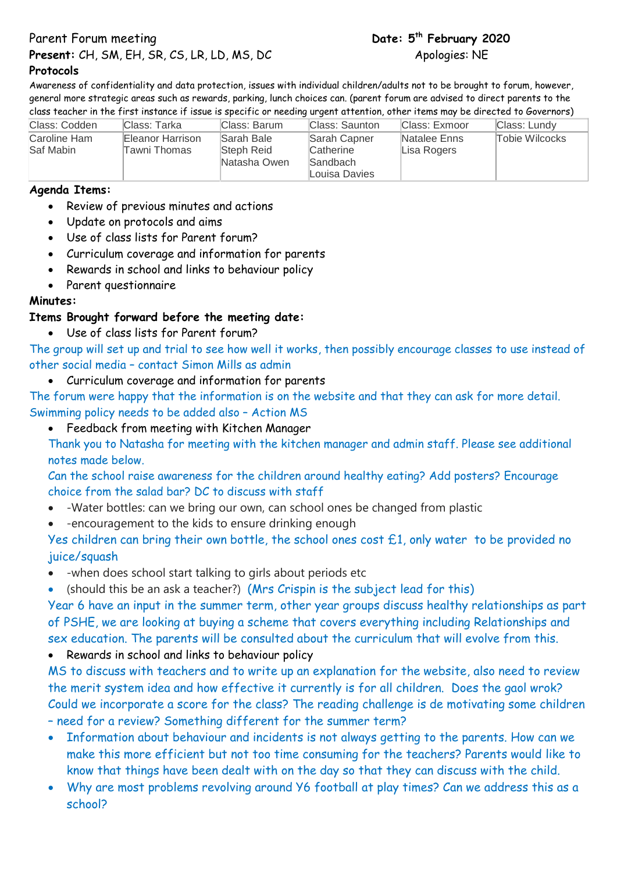**Parent Forum meeting** 

**Present:** CH, SM, EH, SR, CS, LR, LD, MS, DC Apologies: NE

### **Protocols**

Awareness of confidentiality and data protection, issues with individual children/adults not to be brought to forum, however, general more strategic areas such as rewards, parking, lunch choices can. (parent forum are advised to direct parents to the class teacher in the first instance if issue is specific or needing urgent attention, other items may be directed to Governors)

| Class: Codden             | lClass: Tarka                    | Class: Barum                             | Class: Saunton                                         | Class: Exmoor               | Class: Lundy   |
|---------------------------|----------------------------------|------------------------------------------|--------------------------------------------------------|-----------------------------|----------------|
| Caroline Ham<br>Saf Mabin | Eleanor Harrison<br>Tawni Thomas | Sarah Bale<br>Steph Reid<br>Natasha Owen | Sarah Capner<br>Catherine<br>Sandbach<br>Louisa Davies | Natalee Enns<br>Lisa Rogers | Tobie Wilcocks |

## **Agenda Items:**

- Review of previous minutes and actions
- Update on protocols and aims
- Use of class lists for Parent forum?
- Curriculum coverage and information for parents
- Rewards in school and links to behaviour policy
- Parent questionnaire

# **Minutes:**

# **Items Brought forward before the meeting date:**

Use of class lists for Parent forum?

The group will set up and trial to see how well it works, then possibly encourage classes to use instead of other social media – contact Simon Mills as admin

Curriculum coverage and information for parents

The forum were happy that the information is on the website and that they can ask for more detail. Swimming policy needs to be added also – Action MS

Feedback from meeting with Kitchen Manager

Thank you to Natasha for meeting with the kitchen manager and admin staff. Please see additional notes made below.

Can the school raise awareness for the children around healthy eating? Add posters? Encourage choice from the salad bar? DC to discuss with staff

- -Water bottles: can we bring our own, can school ones be changed from plastic
- -encouragement to the kids to ensure drinking enough

Yes children can bring their own bottle, the school ones cost £1, only water to be provided no juice/squash

- -when does school start talking to girls about periods etc
- (should this be an ask a teacher?) (Mrs Crispin is the subject lead for this)

Year 6 have an input in the summer term, other year groups discuss healthy relationships as part of PSHE, we are looking at buying a scheme that covers everything including Relationships and sex education. The parents will be consulted about the curriculum that will evolve from this.

Rewards in school and links to behaviour policy

MS to discuss with teachers and to write up an explanation for the website, also need to review the merit system idea and how effective it currently is for all children. Does the gaol wrok? Could we incorporate a score for the class? The reading challenge is de motivating some children – need for a review? Something different for the summer term?

- Information about behaviour and incidents is not always getting to the parents. How can we make this more efficient but not too time consuming for the teachers? Parents would like to know that things have been dealt with on the day so that they can discuss with the child.
- Why are most problems revolving around Y6 football at play times? Can we address this as a school?